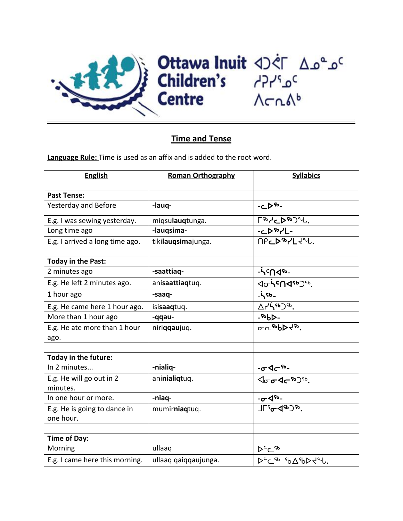

## **Time and Tense**

**Language Rule:** Time is used as an affix and is added to the root word.

| <b>English</b>                       | <b>Roman Orthography</b> | <b>Syllabics</b>                                                                                                                                                                                                                                                                                                                                                                                                                            |
|--------------------------------------|--------------------------|---------------------------------------------------------------------------------------------------------------------------------------------------------------------------------------------------------------------------------------------------------------------------------------------------------------------------------------------------------------------------------------------------------------------------------------------|
|                                      |                          |                                                                                                                                                                                                                                                                                                                                                                                                                                             |
| <b>Past Tense:</b>                   |                          |                                                                                                                                                                                                                                                                                                                                                                                                                                             |
| Yesterday and Before                 | -lauq-                   | -D <sup>Sb</sup> -                                                                                                                                                                                                                                                                                                                                                                                                                          |
| E.g. I was sewing yesterday.         | miqsulauqtunga.          | $\sqrt{480}$                                                                                                                                                                                                                                                                                                                                                                                                                                |
| Long time ago                        | -laugsima-               | $-L^{56}$                                                                                                                                                                                                                                                                                                                                                                                                                                   |
| E.g. I arrived a long time ago.      | tikilauqsimajunga.       | <b>MPCDSO7L+2L.</b>                                                                                                                                                                                                                                                                                                                                                                                                                         |
|                                      |                          |                                                                                                                                                                                                                                                                                                                                                                                                                                             |
| Today in the Past:                   |                          |                                                                                                                                                                                                                                                                                                                                                                                                                                             |
| 2 minutes ago                        | -saattiaq-               | $-i$ <sup>c</sup> ndsb-                                                                                                                                                                                                                                                                                                                                                                                                                     |
| E.g. He left 2 minutes ago.          | anisaattiaqtuq.          | <b><dchcn<br></dchcn<br><dch<br></dch<br>&gt;<dch<br></dch<br><dch<br></dch<br><dch<br></dch<br><dch<br></dch<br><dch<br></dch<br><dch<br></dch<br><dch<br></dch<br><dch<br></dch<br><dch<br></dch<br><dch<br></dch<br><dch<br></dch<br><dch<br></dch<br><dch<br></dch<br><dch<br></dch<br><dch<br></dch<br><dch<br></dch<br><dch<br></dch<br><dch<br></dch<br><dch<br></dch<br><dch<br></dch<br><dch<br></dch<br><dch<br></dch<br>&lt;</b> |
| 1 hour ago                           | -saaq-                   | $-55 -$                                                                                                                                                                                                                                                                                                                                                                                                                                     |
| E.g. He came here 1 hour ago.        | isisaaqtuq.              | <b>Arisb</b> ) Sb.                                                                                                                                                                                                                                                                                                                                                                                                                          |
| More than 1 hour ago                 | -qqau-                   | $-56b$                                                                                                                                                                                                                                                                                                                                                                                                                                      |
| E.g. He ate more than 1 hour         | niriqqaujuq.             | $\sigma$ n sbb $\blacktriangleright$ dsp.                                                                                                                                                                                                                                                                                                                                                                                                   |
| ago.                                 |                          |                                                                                                                                                                                                                                                                                                                                                                                                                                             |
|                                      |                          |                                                                                                                                                                                                                                                                                                                                                                                                                                             |
| Today in the future:                 |                          |                                                                                                                                                                                                                                                                                                                                                                                                                                             |
| In 2 minutes                         | -nialiq-                 | <u>-ᠸ᠋ᡏᡳ᠆᠖᠆</u><br>᠆ᢁᢦ᠆᠖                                                                                                                                                                                                                                                                                                                                                                                                                    |
| E.g. He will go out in 2<br>minutes. | aninialiqtuq.            |                                                                                                                                                                                                                                                                                                                                                                                                                                             |
| In one hour or more.                 | -niaq-                   | $-\sigma$<br><br>$\sim$                                                                                                                                                                                                                                                                                                                                                                                                                     |
| E.g. He is going to dance in         | mumirniaqtuq.            | $\frac{1}{\sqrt{15}}\frac{1}{100}$                                                                                                                                                                                                                                                                                                                                                                                                          |
| one hour.                            |                          |                                                                                                                                                                                                                                                                                                                                                                                                                                             |
|                                      |                          |                                                                                                                                                                                                                                                                                                                                                                                                                                             |
| <b>Time of Day:</b>                  |                          |                                                                                                                                                                                                                                                                                                                                                                                                                                             |
| Morning                              | ullaaq                   | トーム                                                                                                                                                                                                                                                                                                                                                                                                                                         |
| E.g. I came here this morning.       | ullaaq qaiqqaujunga.     | DEC 56 9649D 226.                                                                                                                                                                                                                                                                                                                                                                                                                           |